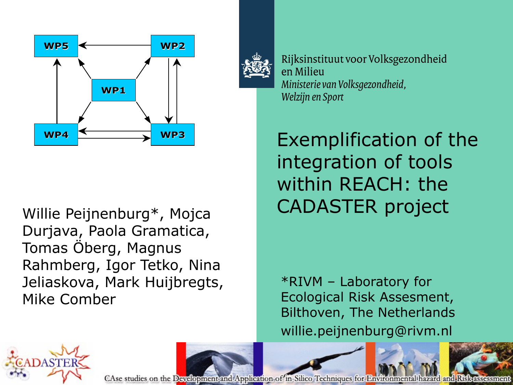

Durjava, Paola Gramatica, Tomas Öberg, Magnus Rahmberg, Igor Tetko, Nina Jeliaskova, Mark Huijbregts, Mike Comber



Rijksinstituut voor Volksgezondheid en Milieu Ministerie van Volksgezondheid, Welzijn en Sport

Exemplification of the integration of tools within REACH: the Willie Peijnenburg\*, Mojca CADASTER project

> \*RIVM – Laboratory for Ecological Risk Assesment, Bilthoven, The Netherlands willie.peijnenburg@rivm.nl



CAse studies on the Development and Application of in-Silico Techniques for Environmental hazard and Riskassessment

 $\overline{\phantom{a}}$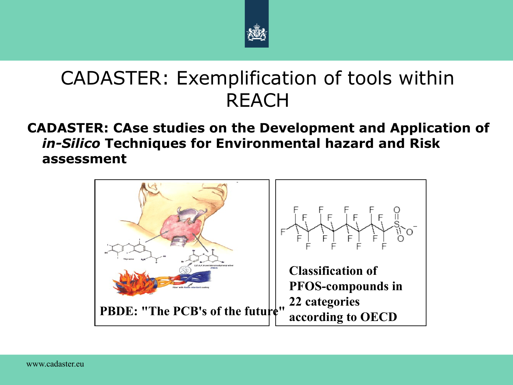

### CADASTER: Exemplification of tools within **REACH**

#### **CADASTER: CAse studies on the Development and Application of**  *in-Silico* **Techniques for Environmental hazard and Risk assessment**

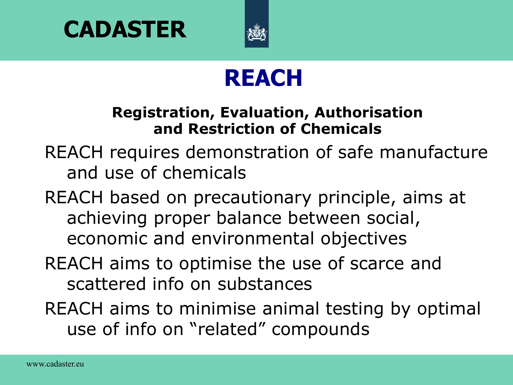



## **REACH**

#### **Registration, Evaluation, Authorisation and Restriction of Chemicals**

REACH requires demonstration of safe manufacture and use of chemicals

REACH based on precautionary principle, aims at achieving proper balance between social, economic and environmental objectives

#### REACH aims to optimise the use of scarce and scattered info on substances

REACH aims to minimise animal testing by optimal use of info on "related" compounds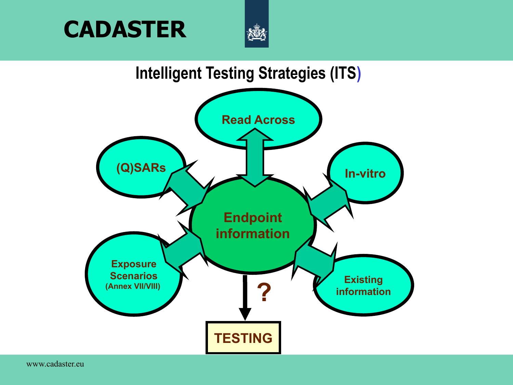



#### **Intelligent Testing Strategies (ITS)**

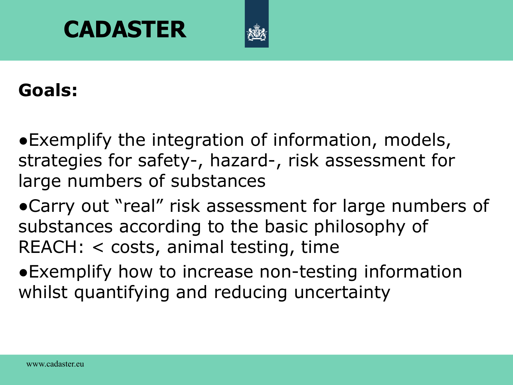

#### **Goals:**

●Exemplify the integration of information, models, strategies for safety-, hazard-, risk assessment for large numbers of substances

●Carry out "real" risk assessment for large numbers of substances according to the basic philosophy of REACH: < costs, animal testing, time

●Exemplify how to increase non-testing information whilst quantifying and reducing uncertainty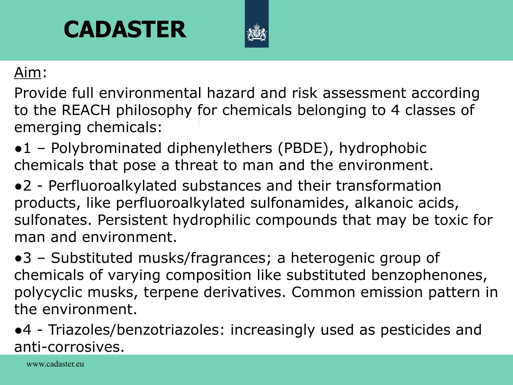

#### Aim:

Provide full environmental hazard and risk assessment according to the REACH philosophy for chemicals belonging to 4 classes of emerging chemicals:

•1 – Polybrominated diphenylethers (PBDE), hydrophobic chemicals that pose a threat to man and the environment.

●2 - Perfluoroalkylated substances and their transformation products, like perfluoroalkylated sulfonamides, alkanoic acids, sulfonates. Persistent hydrophilic compounds that may be toxic for man and environment.

●3 – Substituted musks/fragrances; a heterogenic group of chemicals of varying composition like substituted benzophenones, polycyclic musks, terpene derivatives. Common emission pattern in the environment.

●4 - Triazoles/benzotriazoles: increasingly used as pesticides and anti-corrosives.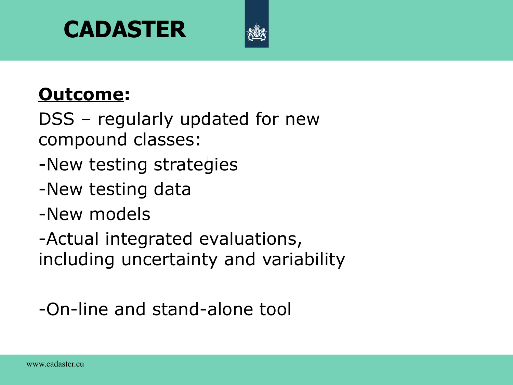

#### **Outcome:**

DSS – regularly updated for new compound classes:

- -New testing strategies
- -New testing data
- -New models

-Actual integrated evaluations, including uncertainty and variability

#### -On-line and stand-alone tool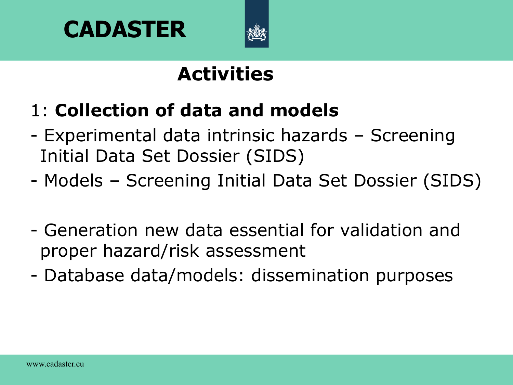



## **Activities**

- 1: **Collection of data and models**
- Experimental data intrinsic hazards Screening Initial Data Set Dossier (SIDS)
- Models Screening Initial Data Set Dossier (SIDS)
- Generation new data essential for validation and proper hazard/risk assessment
- Database data/models: dissemination purposes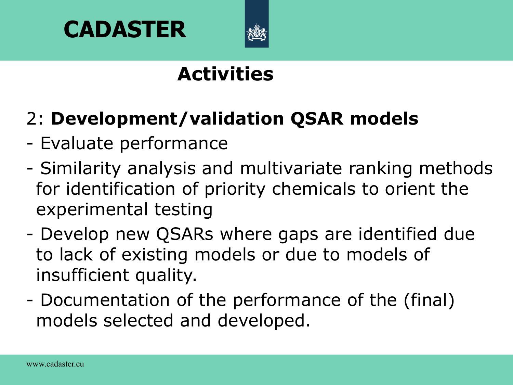



## **Activities**

## 2: **Development/validation QSAR models**

- Evaluate performance
- Similarity analysis and multivariate ranking methods for identification of priority chemicals to orient the experimental testing
- Develop new QSARs where gaps are identified due to lack of existing models or due to models of insufficient quality.
- Documentation of the performance of the (final) models selected and developed.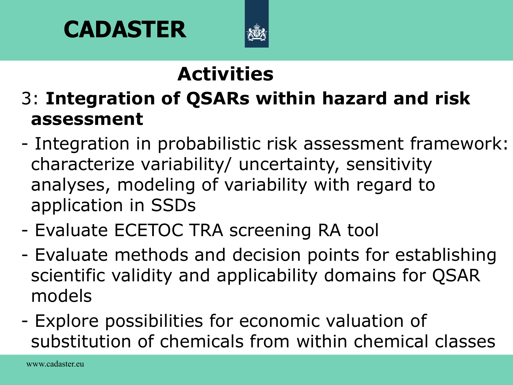

# **Activities**

- 3: **Integration of QSARs within hazard and risk assessment**
- Integration in probabilistic risk assessment framework: characterize variability/ uncertainty, sensitivity analyses, modeling of variability with regard to application in SSDs
- Evaluate ECETOC TRA screening RA tool
- Evaluate methods and decision points for establishing scientific validity and applicability domains for QSAR models
- Explore possibilities for economic valuation of substitution of chemicals from within chemical classes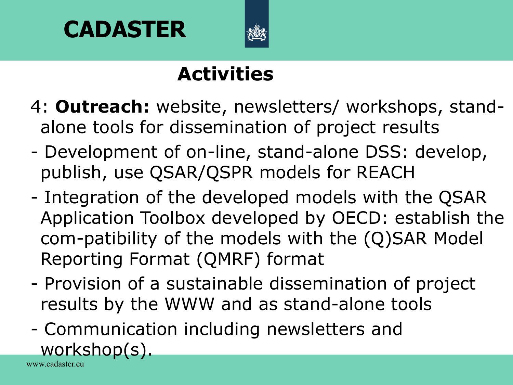



## **Activities**

- 4: **Outreach:** website, newsletters/ workshops, standalone tools for dissemination of project results
- Development of on-line, stand-alone DSS: develop, publish, use QSAR/QSPR models for REACH
- Integration of the developed models with the QSAR Application Toolbox developed by OECD: establish the com-patibility of the models with the (Q)SAR Model Reporting Format (QMRF) format
- Provision of a sustainable dissemination of project results by the WWW and as stand-alone tools
- www.cadaster.eu - Communication including newsletters and workshop(s).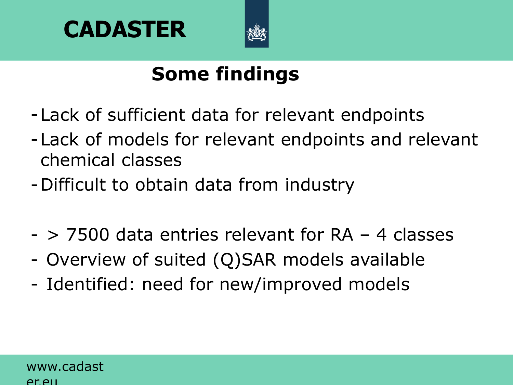



## **Some findings**

- -Lack of sufficient data for relevant endpoints
- -Lack of models for relevant endpoints and relevant chemical classes
- -Difficult to obtain data from industry
- > 7500 data entries relevant for RA 4 classes
- Overview of suited (Q)SAR models available
- Identified: need for new/improved models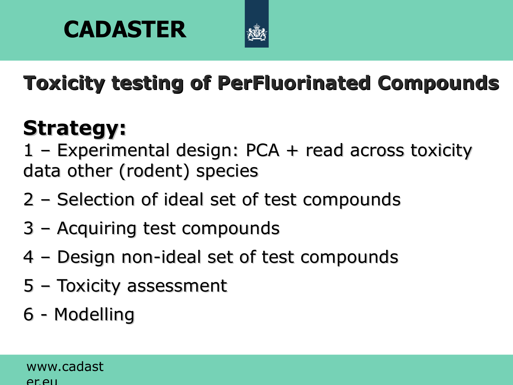



**Toxicity testing of PerFluorinated Compounds**

# **Strategy:**

1 – Experimental design: PCA + read across toxicity data other (rodent) species

- 2 Selection of ideal set of test compounds
- 3 Acquiring test compounds
- 4 Design non-ideal set of test compounds
- 5 Toxicity assessment
- 6 Modelling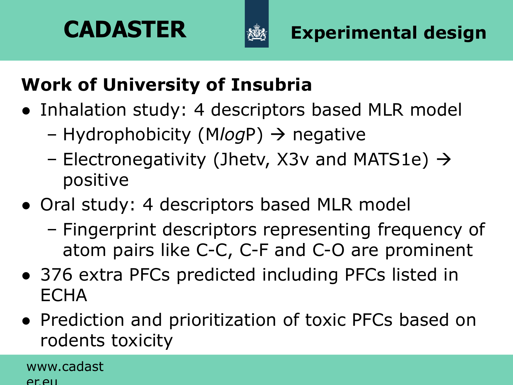



## **Work of University of Insubria**

- Inhalation study: 4 descriptors based MLR model
	- Hydrophobicity (M*log*P) negative
	- Electronegativity (Jhetv, X3v and MATS1e)  $\rightarrow$ positive
- Oral study: 4 descriptors based MLR model
	- Fingerprint descriptors representing frequency of atom pairs like C-C, C-F and C-O are prominent
- 376 extra PFCs predicted including PFCs listed in **ECHA**
- Prediction and prioritization of toxic PFCs based on rodents toxicity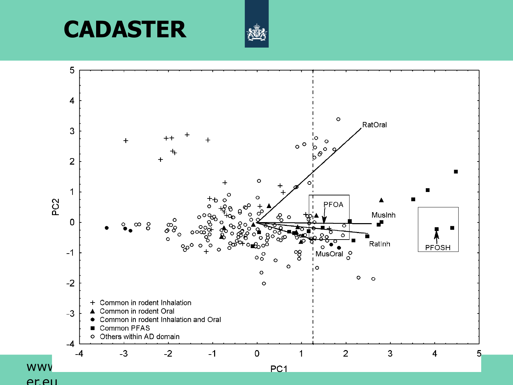



er.eu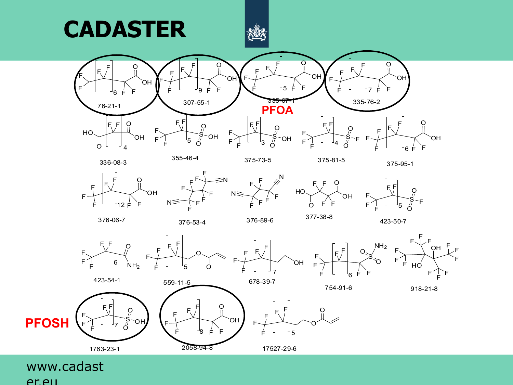



375-73-5

F

F

F F







F

F F F







O

OH











 $F^{\prime}$ F

F

F F

6





www.cadast er.eu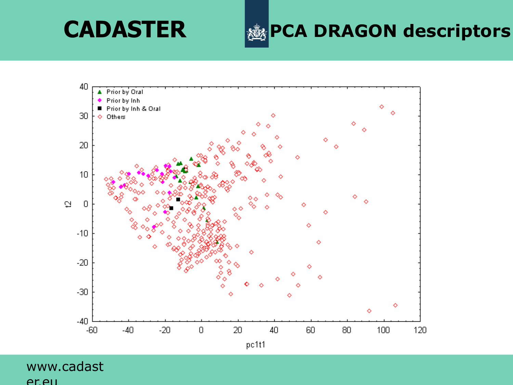**CADASTER EXAGON descriptors** 

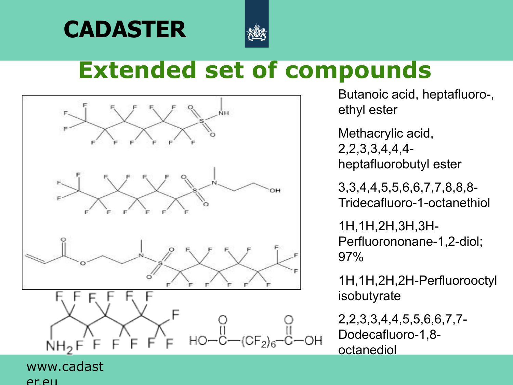



## **Extended set of compounds**



Butanoic acid, heptafluoro-, ethyl ester

Methacrylic acid, 2,2,3,3,4,4,4 heptafluorobutyl ester

3,3,4,4,5,5,6,6,7,7,8,8,8- Tridecafluoro-1-octanethiol

1H,1H,2H,3H,3H-Perfluorononane-1,2-diol; 97%

1H,1H,2H,2H-Perfluorooctyl isobutyrate

2,2,3,3,4,4,5,5,6,6,7,7- Dodecafluoro-1,8 octanediol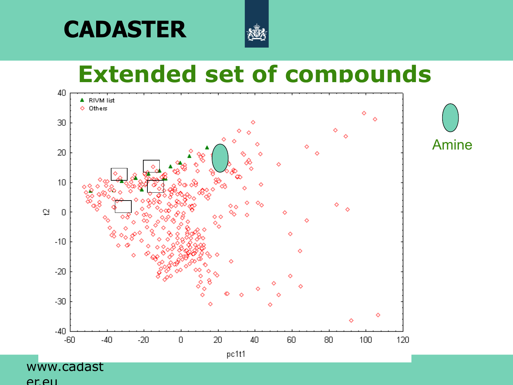



# **Extended set of compounds**



Amine

er.eu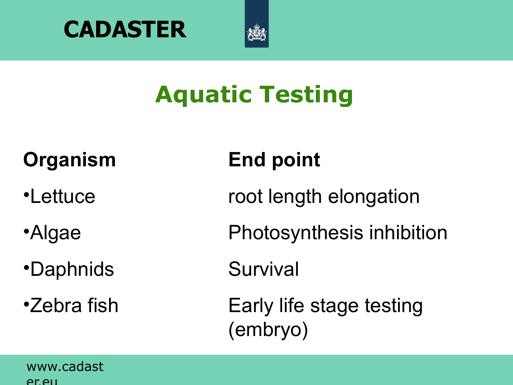



# **Aquatic Testing**

# **Organism End point**

- 
- 
- •Daphnids Survival
- 

- •Lettuce root length elongation
- •Algae Photosynthesis inhibition
	-
- •Zebra fish Early life stage testing (embryo)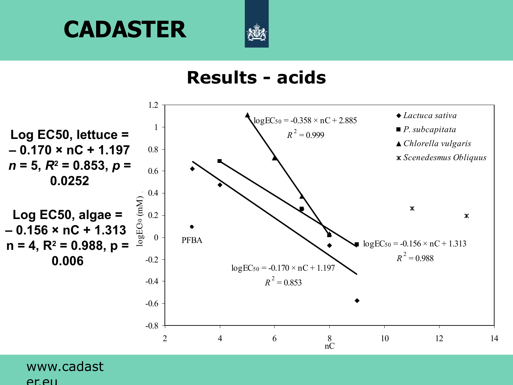

#### **Results - acids**

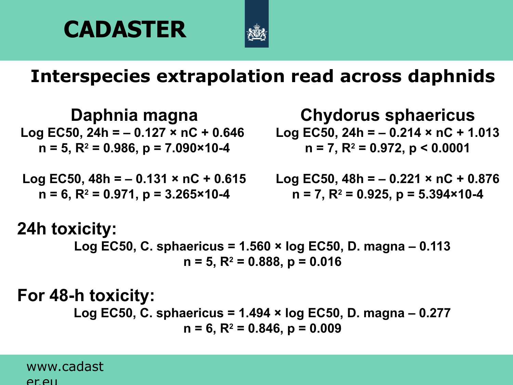



#### **Interspecies extrapolation read across daphnids**

**Daphnia magna Log EC50, 24h = – 0.127 × nC + 0.646 n = 5, R<sup>2</sup> = 0.986, p = 7.090×10-4**

**Log EC50, 48h = – 0.131 × nC + 0.615 n = 6, R<sup>2</sup> = 0.971, p = 3.265×10-4**

**Chydorus sphaericus**

**Log EC50, 24h = – 0.214 × nC + 1.013 n = 7, R<sup>2</sup> = 0.972, p < 0.0001**

**Log EC50, 48h = – 0.221 × nC + 0.876 n = 7, R<sup>2</sup> = 0.925, p = 5.394×10-4**

#### **24h toxicity: Log EC50, C. sphaericus = 1.560 × log EC50, D. magna – 0.113 n = 5, R<sup>2</sup> = 0.888, p = 0.016**

#### **For 48-h toxicity:**

**Log EC50, C. sphaericus = 1.494 × log EC50, D. magna – 0.277 n = 6, R<sup>2</sup> = 0.846, p = 0.009**